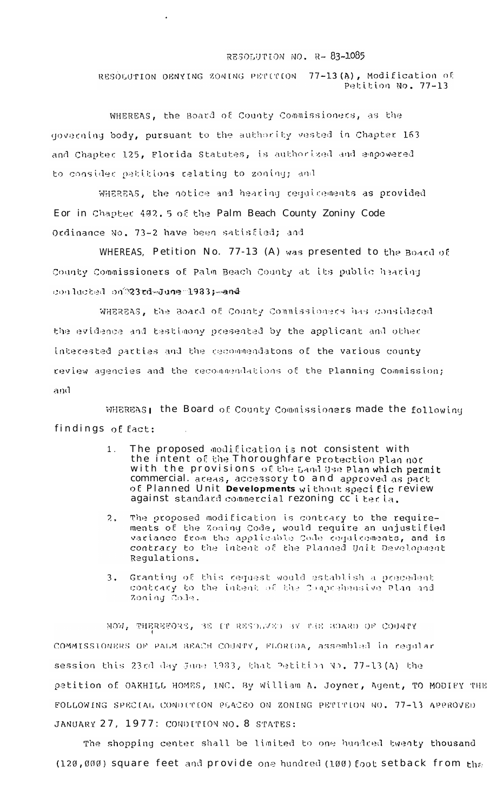## RESOLUTION NO. R-83-1085

RESOLUTION DENYING ZONING PETITION 77-13(A), Modification of Petition No. 77-13

WHEREAS, the Board of County Commissioners, as the governing body, pursuant to the authority vested in Chapter 163 and Chapter 125, Florida Statutes, is authorized and empowered to consider patitions relating to zoning; and

 $\ddot{\phantom{a}}$ 

WHEREAS, the notice and hearing requirements as provided Eor in Chapter 402. 5 of the Palm Beach County Zoniny Code Ordinance No. 73-2 have been satisfied; and

WHEREAS, Petition No. 77-13 (A) was presented to the Board of County Commissioners of Palm Beach County at its public hearing conducted on 23 td-June 1983; and

WHEREAS, the Board of County Commissioners has considered the evidence and testimony presented by the applicant and other interested parties and the recommendatons of the various county review agencies and the recommendations of the Planning Commission; and

WHEREAS; the Board of County Commissioners made the following findings of fact:

- The proposed modification is not consistent with<br>the intent of the Thoroughfare protection plan nor  $1<sub>1</sub>$ with the provisions of the Land Use Plan which permit commercial. areas, accessory to and approved as part of Planned Unit Developments without specific review against standard commercial rezoning collecta.
- The proposed modification is contrary to the require- $2.$ ments of the Zoning Code, would require an unjustified variance from the applicable Code requirements, and is contrary to the intent of the Planned Unit Development Requlations.
- Granting of this request would establish a precedent  $3.1$ contrary to the intent of the Comprehensive Plan and Zoning Code.

NOW, THEREFORE, 38 IT RESOLVED BY THE BOARD OF COUNTY COMMISSIONERS OF PALM BEACH COUNTY, FLORIDA, assembled in regular session this 23rd day June 1983, that Petition No. 77-13(A) the petition of OAKHILL HOMES, INC. By William A. Joyner, Agent, TO MODIEY THE FOLLOWING SPECIAL CONDITION PLACED ON ZONING PETITION NO. 77-13 APPROVED JANUARY 27, 1977: CONDITION NO. 8 STATES:

The shopping center shall be limited to one hundred twenty thousand (120,000) square feet and provide one hundred (100) foot setback from the